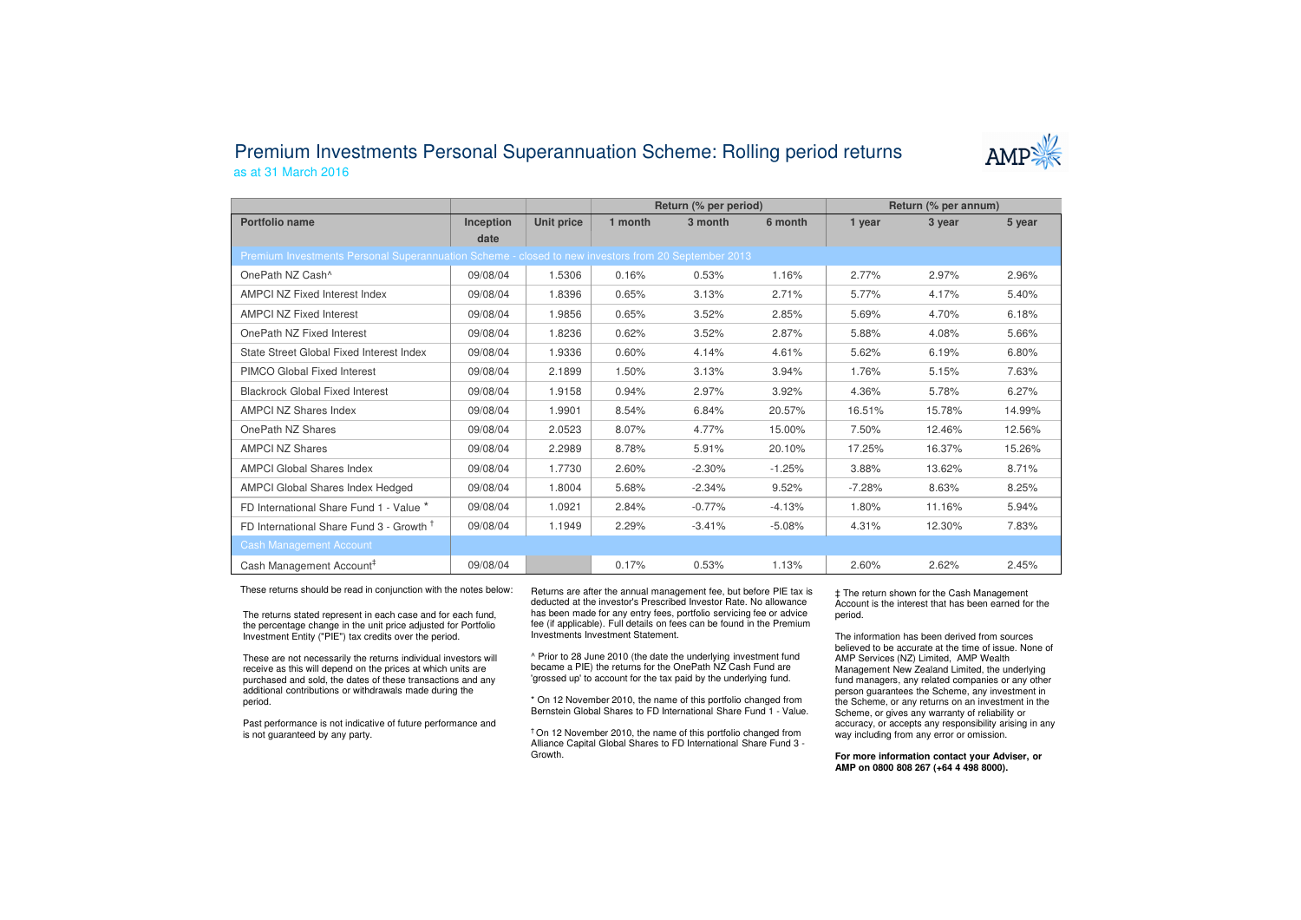## Premium Investments Personal Superannuation Scheme: Rolling period returnsas at 31 March 2016



|                                                                                                     |           |            | Return (% per period) |          |          | Return (% per annum) |        |        |
|-----------------------------------------------------------------------------------------------------|-----------|------------|-----------------------|----------|----------|----------------------|--------|--------|
| Portfolio name                                                                                      | Inception | Unit price | 1 month               | 3 month  | 6 month  | 1 year               | 3 year | 5 year |
|                                                                                                     | date      |            |                       |          |          |                      |        |        |
| Premium Investments Personal Superannuation Scheme - closed to new investors from 20 September 2013 |           |            |                       |          |          |                      |        |        |
| OnePath NZ Cash <sup>^</sup>                                                                        | 09/08/04  | 1.5306     | 0.16%                 | 0.53%    | 1.16%    | 2.77%                | 2.97%  | 2.96%  |
| <b>AMPCI NZ Fixed Interest Index</b>                                                                | 09/08/04  | 1.8396     | 0.65%                 | 3.13%    | 2.71%    | 5.77%                | 4.17%  | 5.40%  |
| <b>AMPCI NZ Fixed Interest</b>                                                                      | 09/08/04  | 1.9856     | 0.65%                 | 3.52%    | 2.85%    | 5.69%                | 4.70%  | 6.18%  |
| OnePath NZ Fixed Interest                                                                           | 09/08/04  | 1.8236     | 0.62%                 | 3.52%    | 2.87%    | 5.88%                | 4.08%  | 5.66%  |
| State Street Global Fixed Interest Index                                                            | 09/08/04  | 1.9336     | 0.60%                 | 4.14%    | 4.61%    | 5.62%                | 6.19%  | 6.80%  |
| <b>PIMCO Global Fixed Interest</b>                                                                  | 09/08/04  | 2.1899     | 1.50%                 | 3.13%    | 3.94%    | 1.76%                | 5.15%  | 7.63%  |
| <b>Blackrock Global Fixed Interest</b>                                                              | 09/08/04  | 1.9158     | 0.94%                 | 2.97%    | 3.92%    | 4.36%                | 5.78%  | 6.27%  |
| <b>AMPCI NZ Shares Index</b>                                                                        | 09/08/04  | 1.9901     | 8.54%                 | 6.84%    | 20.57%   | 16.51%               | 15.78% | 14.99% |
| OnePath NZ Shares                                                                                   | 09/08/04  | 2.0523     | 8.07%                 | 4.77%    | 15.00%   | 7.50%                | 12.46% | 12.56% |
| <b>AMPCI NZ Shares</b>                                                                              | 09/08/04  | 2.2989     | 8.78%                 | 5.91%    | 20.10%   | 17.25%               | 16.37% | 15.26% |
| <b>AMPCI Global Shares Index</b>                                                                    | 09/08/04  | 1.7730     | 2.60%                 | $-2.30%$ | $-1.25%$ | 3.88%                | 13.62% | 8.71%  |
| <b>AMPCI Global Shares Index Hedged</b>                                                             | 09/08/04  | 1.8004     | 5.68%                 | $-2.34%$ | 9.52%    | $-7.28%$             | 8.63%  | 8.25%  |
| FD International Share Fund 1 - Value *                                                             | 09/08/04  | 1.0921     | 2.84%                 | $-0.77%$ | $-4.13%$ | 1.80%                | 11.16% | 5.94%  |
| FD International Share Fund 3 - Growth <sup>T</sup>                                                 | 09/08/04  | 1.1949     | 2.29%                 | $-3.41%$ | $-5.08%$ | 4.31%                | 12.30% | 7.83%  |
| <b>Cash Management Account</b>                                                                      |           |            |                       |          |          |                      |        |        |
| Cash Management Account <sup>#</sup>                                                                | 09/08/04  |            | 0.17%                 | 0.53%    | 1.13%    | 2.60%                | 2.62%  | 2.45%  |

These returns should be read in conjunction with the notes below:

The returns stated represent in each case and for each fund, the percentage change in the unit price adjusted for Portfolio Investment Entity ("PIE") tax credits over the period.

These are not necessarily the returns individual investors will receive as this will depend on the prices at which units are purchased and sold, the dates of these transactions and any additional contributions or withdrawals made during the period.

Past performance is not indicative of future performance and is not guaranteed by any party.

Returns are after the annual management fee, but before PIE tax is deducted at the investor's Prescribed Investor Rate. No allowance has been made for any entry fees, portfolio servicing fee or advice fee (if applicable). Full details on fees can be found in the Premium Investments Investment Statement.

^ Prior to 28 June 2010 (the date the underlying investment fund became a PIE) the returns for the OnePath NZ Cash Fund are 'grossed up' to account for the tax paid by the underlying fund.

\* On 12 November 2010, the name of this portfolio changed from Bernstein Global Shares to FD International Share Fund 1 - Value.

† On 12 November 2010, the name of this portfolio changed from Alliance Capital Global Shares to FD International Share Fund 3 -Growth.

‡ The return shown for the Cash Management Account is the interest that has been earned for the period.

The information has been derived from sources believed to be accurate at the time of issue. None of AMP Services (NZ) Limited, AMP Wealth Management New Zealand Limited, the underlying fund managers, any related companies or any other person guarantees the Scheme, any investment in the Scheme, or any returns on an investment in the Scheme, or gives any warranty of reliability or accuracy, or accepts any responsibility arising in any way including from any error or omission.

**For more information contact your Adviser, or AMP on 0800 808 267 (+64 4 498 8000).**